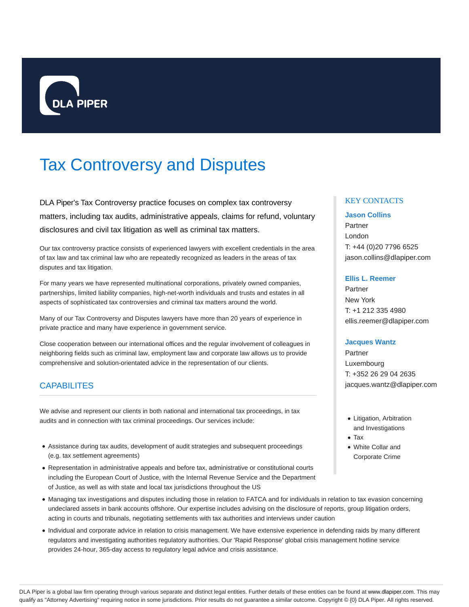

# Tax Controversy and Disputes

DLA Piper's Tax Controversy practice focuses on complex tax controversy matters, including tax audits, administrative appeals, claims for refund, voluntary disclosures and civil tax litigation as well as criminal tax matters.

Our tax controversy practice consists of experienced lawyers with excellent credentials in the area of tax law and tax criminal law who are repeatedly recognized as leaders in the areas of tax disputes and tax litigation.

For many years we have represented multinational corporations, privately owned companies, partnerships, limited liability companies, high-net-worth individuals and trusts and estates in all aspects of sophisticated tax controversies and criminal tax matters around the world.

Many of our Tax Controversy and Disputes lawyers have more than 20 years of experience in private practice and many have experience in government service.

Close cooperation between our international offices and the regular involvement of colleagues in neighboring fields such as criminal law, employment law and corporate law allows us to provide comprehensive and solution-orientated advice in the representation of our clients.

# **CAPABILITES**

We advise and represent our clients in both national and international tax proceedings, in tax audits and in connection with tax criminal proceedings. Our services include:

- Assistance during tax audits, development of audit strategies and subsequent proceedings (e.g. tax settlement agreements)
- Representation in administrative appeals and before tax, administrative or constitutional courts including the European Court of Justice, with the Internal Revenue Service and the Department of Justice, as well as with state and local tax jurisdictions throughout the US

# Managing tax investigations and disputes including those in relation to FATCA and for individuals in relation to tax evasion concerning undeclared assets in bank accounts offshore. Our expertise includes advising on the disclosure of reports, group litigation orders, acting in courts and tribunals, negotiating settlements with tax authorities and interviews under caution

Individual and corporate advice in relation to crisis management. We have extensive experience in defending raids by many different regulators and investigating authorities regulatory authorities. Our 'Rapid Response' global crisis management hotline service provides 24-hour, 365-day access to regulatory legal advice and crisis assistance.

## KEY CONTACTS

## **Jason Collins**

Partner London T: +44 (0)20 7796 6525 jason.collins@dlapiper.com

## **Ellis L. Reemer**

Partner New York T: +1 212 335 4980 ellis.reemer@dlapiper.com

## **Jacques Wantz**

Partner Luxembourg T: +352 26 29 04 2635 jacques.wantz@dlapiper.com

- Litigation, Arbitration and Investigations
- Tax
- White Collar and Corporate Crime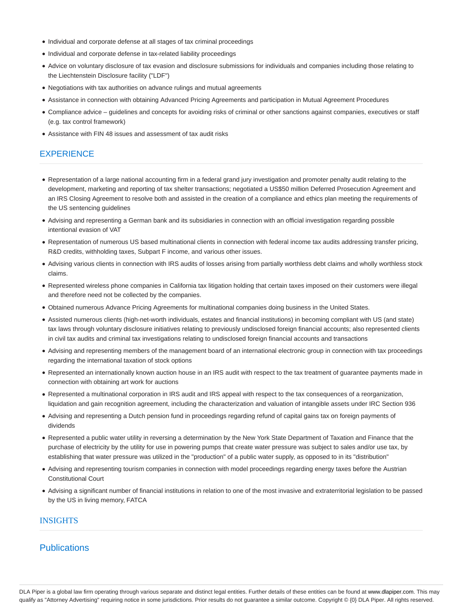- Individual and corporate defense at all stages of tax criminal proceedings
- Individual and corporate defense in tax-related liability proceedings
- Advice on voluntary disclosure of tax evasion and disclosure submissions for individuals and companies including those relating to the Liechtenstein Disclosure facility ("LDF")
- Negotiations with tax authorities on advance rulings and mutual agreements
- Assistance in connection with obtaining Advanced Pricing Agreements and participation in Mutual Agreement Procedures
- Compliance advice guidelines and concepts for avoiding risks of criminal or other sanctions against companies, executives or staff (e.g. tax control framework)
- Assistance with FIN 48 issues and assessment of tax audit risks

# **EXPERIENCE**

- Representation of a large national accounting firm in a federal grand jury investigation and promoter penalty audit relating to the development, marketing and reporting of tax shelter transactions; negotiated a US\$50 million Deferred Prosecution Agreement and an IRS Closing Agreement to resolve both and assisted in the creation of a compliance and ethics plan meeting the requirements of the US sentencing guidelines
- Advising and representing a German bank and its subsidiaries in connection with an official investigation regarding possible intentional evasion of VAT
- Representation of numerous US based multinational clients in connection with federal income tax audits addressing transfer pricing, R&D credits, withholding taxes, Subpart F income, and various other issues.
- Advising various clients in connection with IRS audits of losses arising from partially worthless debt claims and wholly worthless stock claims.
- Represented wireless phone companies in California tax litigation holding that certain taxes imposed on their customers were illegal and therefore need not be collected by the companies.
- Obtained numerous Advance Pricing Agreements for multinational companies doing business in the United States.
- Assisted numerous clients (high-net-worth individuals, estates and financial institutions) in becoming compliant with US (and state) tax laws through voluntary disclosure initiatives relating to previously undisclosed foreign financial accounts; also represented clients in civil tax audits and criminal tax investigations relating to undisclosed foreign financial accounts and transactions
- Advising and representing members of the management board of an international electronic group in connection with tax proceedings regarding the international taxation of stock options
- Represented an internationally known auction house in an IRS audit with respect to the tax treatment of guarantee payments made in connection with obtaining art work for auctions
- Represented a multinational corporation in IRS audit and IRS appeal with respect to the tax consequences of a reorganization, liquidation and gain recognition agreement, including the characterization and valuation of intangible assets under IRC Section 936
- Advising and representing a Dutch pension fund in proceedings regarding refund of capital gains tax on foreign payments of dividends
- Represented a public water utility in reversing a determination by the New York State Department of Taxation and Finance that the purchase of electricity by the utility for use in powering pumps that create water pressure was subject to sales and/or use tax, by establishing that water pressure was utilized in the "production" of a public water supply, as opposed to in its "distribution"
- Advising and representing tourism companies in connection with model proceedings regarding energy taxes before the Austrian Constitutional Court
- Advising a significant number of financial institutions in relation to one of the most invasive and extraterritorial legislation to be passed by the US in living memory, FATCA

## INSIGHTS

# **Publications**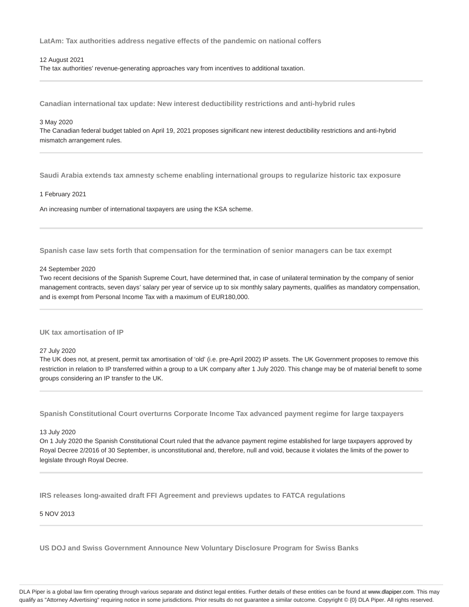**LatAm: Tax authorities address negative effects of the pandemic on national coffers**

#### 12 August 2021

The tax authorities' revenue-generating approaches vary from incentives to additional taxation.

**Canadian international tax update: New interest deductibility restrictions and anti-hybrid rules**

## 3 May 2020

The Canadian federal budget tabled on April 19, 2021 proposes significant new interest deductibility restrictions and anti-hybrid mismatch arrangement rules.

**Saudi Arabia extends tax amnesty scheme enabling international groups to regularize historic tax exposure**

## 1 February 2021

An increasing number of international taxpayers are using the KSA scheme.

**Spanish case law sets forth that compensation for the termination of senior managers can be tax exempt**

#### 24 September 2020

Two recent decisions of the Spanish Supreme Court, have determined that, in case of unilateral termination by the company of senior management contracts, seven days' salary per year of service up to six monthly salary payments, qualifies as mandatory compensation, and is exempt from Personal Income Tax with a maximum of EUR180,000.

### **UK tax amortisation of IP**

27 July 2020

The UK does not, at present, permit tax amortisation of 'old' (i.e. pre-April 2002) IP assets. The UK Government proposes to remove this restriction in relation to IP transferred within a group to a UK company after 1 July 2020. This change may be of material benefit to some groups considering an IP transfer to the UK.

**Spanish Constitutional Court overturns Corporate Income Tax advanced payment regime for large taxpayers**

#### 13 July 2020

On 1 July 2020 the Spanish Constitutional Court ruled that the advance payment regime established for large taxpayers approved by Royal Decree 2/2016 of 30 September, is unconstitutional and, therefore, null and void, because it violates the limits of the power to legislate through Royal Decree.

**IRS releases long-awaited draft FFI Agreement and previews updates to FATCA regulations**

## 5 NOV 2013

**US DOJ and Swiss Government Announce New Voluntary Disclosure Program for Swiss Banks**

DLA Piper is a global law firm operating through various separate and distinct legal entities. Further details of these entities can be found at www.dlapiper.com. This may qualify as "Attorney Advertising" requiring notice in some jurisdictions. Prior results do not guarantee a similar outcome. Copyright © {0} DLA Piper. All rights reserved.